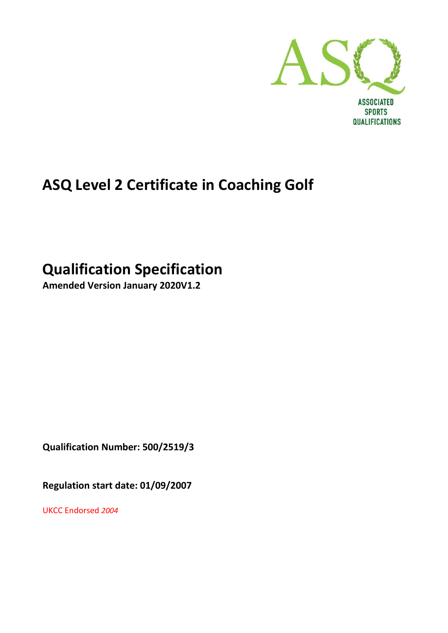

QUALIFICATIONS

# **ASQ Level 2 Certificate in Coaching Golf**

# **Qualification Specification**

**Amended Version January 2020V1.2**

**Qualification Number: 500/2519/3**

**Regulation start date: 01/09/2007**

UKCC Endorsed *2004*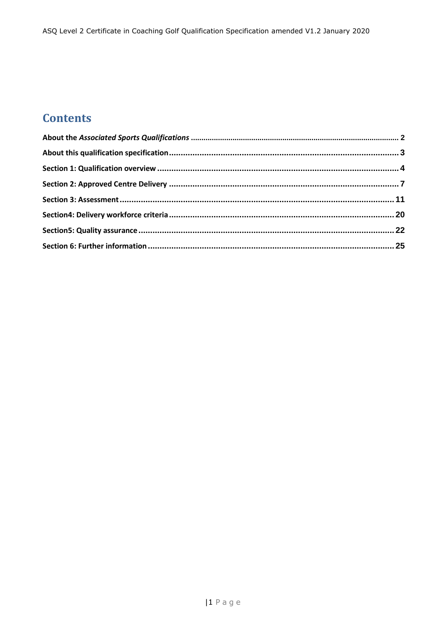## **Contents**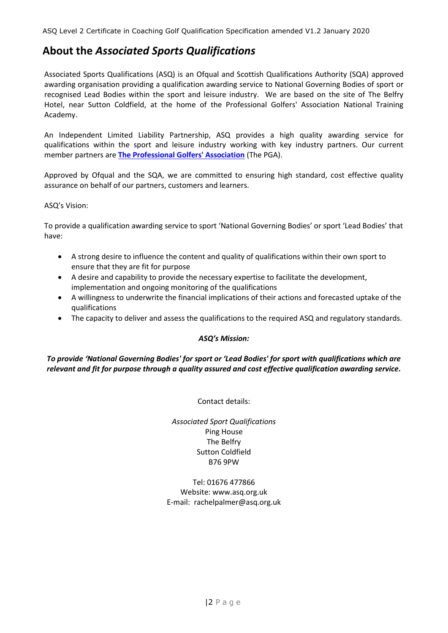## <span id="page-2-0"></span>**About the** *Associated Sports Qualifications*

Associated Sports Qualifications (ASQ) is an Ofqual and Scottish Qualifications Authority (SQA) approved awarding organisation providing a qualification awarding service to National Governing Bodies of sport or recognised Lead Bodies within the sport and leisure industry. We are based on the site of The Belfry Hotel, near Sutton Coldfield, at the home of the Professional Golfers' Association National Training Academy.

An Independent Limited Liability Partnership, ASQ provides a high quality awarding service for qualifications within the sport and leisure industry working with key industry partners. Our current member partners are **[The Professional Golfers' Association](http://www.pga.info/)** (The PGA).

Approved by Ofqual and the SQA, we are committed to ensuring high standard, cost effective quality assurance on behalf of our partners, customers and learners.

#### ASQ's Vision:

To provide a qualification awarding service to sport 'National Governing Bodies' or sport 'Lead Bodies' that have:

- A strong desire to influence the content and quality of qualifications within their own sport to ensure that they are fit for purpose
- A desire and capability to provide the necessary expertise to facilitate the development, implementation and ongoing monitoring of the qualifications
- A willingness to underwrite the financial implications of their actions and forecasted uptake of the qualifications
- The capacity to deliver and assess the qualifications to the required ASQ and regulatory standards.

#### *ASQ's Mission:*

*To provide 'National Governing Bodies' for sport or 'Lead Bodies' for sport with qualifications which are relevant and fit for purpose through a quality assured and cost effective qualification awarding service.*

Contact details:

*Associated Sport Qualifications* Ping House The Belfry Sutton Coldfield B76 9PW

Tel: 01676 477866 Website: www.asq.org.uk E-mail: rachelpalmer@asq.org.uk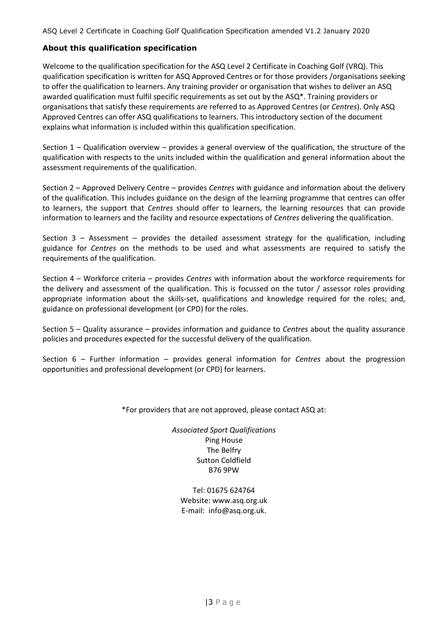#### <span id="page-3-0"></span>**About this qualification specification**

Welcome to the qualification specification for the ASQ Level 2 Certificate in Coaching Golf (VRQ). This qualification specification is written for ASQ Approved Centres or for those providers /organisations seeking to offer the qualification to learners. Any training provider or organisation that wishes to deliver an ASQ awarded qualification must fulfil specific requirements as set out by the ASQ\*. Training providers or organisations that satisfy these requirements are referred to as Approved Centres (or *Centres*). Only ASQ Approved Centres can offer ASQ qualifications to learners. This introductory section of the document explains what information is included within this qualification specification.

Section 1 – Qualification overview – provides a general overview of the qualification, the structure of the qualification with respects to the units included within the qualification and general information about the assessment requirements of the qualification.

Section 2 – Approved Delivery Centre – provides *Centres* with guidance and information about the delivery of the qualification. This includes guidance on the design of the learning programme that centres can offer to learners, the support that *Centres* should offer to learners, the learning resources that can provide information to learners and the facility and resource expectations of *Centres* delivering the qualification.

Section  $3 -$  Assessment – provides the detailed assessment strategy for the qualification, including guidance for *Centres* on the methods to be used and what assessments are required to satisfy the requirements of the qualification.

Section 4 – Workforce criteria – provides *Centres* with information about the workforce requirements for the delivery and assessment of the qualification. This is focussed on the tutor / assessor roles providing appropriate information about the skills-set, qualifications and knowledge required for the roles; and, guidance on professional development (or CPD) for the roles.

Section 5 – Quality assurance – provides information and guidance to *Centres* about the quality assurance policies and procedures expected for the successful delivery of the qualification.

Section 6 – Further information – provides general information for *Centres* about the progression opportunities and professional development (or CPD) for learners.

\*For providers that are not approved, please contact ASQ at:

*Associated Sport Qualifications* Ping House The Belfry Sutton Coldfield B76 9PW

Tel: 01675 624764 Website: www.asq.org.uk E-mail: info@asq.org.uk.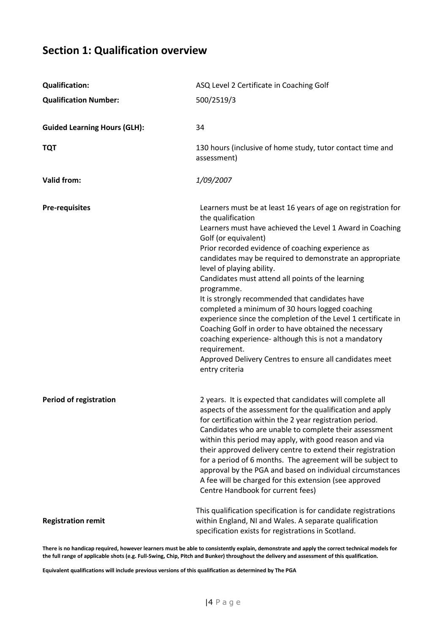## <span id="page-4-0"></span>**Section 1: Qualification overview**

| <b>Qualification:</b>               | ASQ Level 2 Certificate in Coaching Golf                                                                                                                                                                                                                                                                                                                                                                                                                                                                                                                                                                                                                                                                                                                                       |
|-------------------------------------|--------------------------------------------------------------------------------------------------------------------------------------------------------------------------------------------------------------------------------------------------------------------------------------------------------------------------------------------------------------------------------------------------------------------------------------------------------------------------------------------------------------------------------------------------------------------------------------------------------------------------------------------------------------------------------------------------------------------------------------------------------------------------------|
| <b>Qualification Number:</b>        | 500/2519/3                                                                                                                                                                                                                                                                                                                                                                                                                                                                                                                                                                                                                                                                                                                                                                     |
| <b>Guided Learning Hours (GLH):</b> | 34                                                                                                                                                                                                                                                                                                                                                                                                                                                                                                                                                                                                                                                                                                                                                                             |
| <b>TQT</b>                          | 130 hours (inclusive of home study, tutor contact time and<br>assessment)                                                                                                                                                                                                                                                                                                                                                                                                                                                                                                                                                                                                                                                                                                      |
| <b>Valid from:</b>                  | 1/09/2007                                                                                                                                                                                                                                                                                                                                                                                                                                                                                                                                                                                                                                                                                                                                                                      |
| <b>Pre-requisites</b>               | Learners must be at least 16 years of age on registration for<br>the qualification<br>Learners must have achieved the Level 1 Award in Coaching<br>Golf (or equivalent)<br>Prior recorded evidence of coaching experience as<br>candidates may be required to demonstrate an appropriate<br>level of playing ability.<br>Candidates must attend all points of the learning<br>programme.<br>It is strongly recommended that candidates have<br>completed a minimum of 30 hours logged coaching<br>experience since the completion of the Level 1 certificate in<br>Coaching Golf in order to have obtained the necessary<br>coaching experience- although this is not a mandatory<br>requirement.<br>Approved Delivery Centres to ensure all candidates meet<br>entry criteria |
| <b>Period of registration</b>       | 2 years. It is expected that candidates will complete all<br>aspects of the assessment for the qualification and apply<br>for certification within the 2 year registration period.<br>Candidates who are unable to complete their assessment<br>within this period may apply, with good reason and via<br>their approved delivery centre to extend their registration<br>for a period of 6 months. The agreement will be subject to<br>approval by the PGA and based on individual circumstances<br>A fee will be charged for this extension (see approved<br>Centre Handbook for current fees)                                                                                                                                                                                |
| <b>Registration remit</b>           | This qualification specification is for candidate registrations<br>within England, NI and Wales. A separate qualification<br>specification exists for registrations in Scotland.                                                                                                                                                                                                                                                                                                                                                                                                                                                                                                                                                                                               |

**There is no handicap required, however learners must be able to consistently explain, demonstrate and apply the correct technical models for the full range of applicable shots (e.g. Full-Swing, Chip, Pitch and Bunker) throughout the delivery and assessment of this qualification.** 

**Equivalent qualifications will include previous versions of this qualification as determined by The PGA**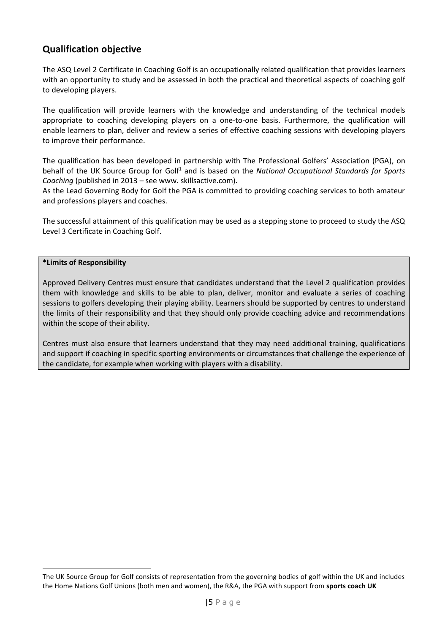## **Qualification objective**

The ASQ Level 2 Certificate in Coaching Golf is an occupationally related qualification that provides learners with an opportunity to study and be assessed in both the practical and theoretical aspects of coaching golf to developing players.

The qualification will provide learners with the knowledge and understanding of the technical models appropriate to coaching developing players on a one-to-one basis. Furthermore, the qualification will enable learners to plan, deliver and review a series of effective coaching sessions with developing players to improve their performance.

The qualification has been developed in partnership with The Professional Golfers' Association (PGA), on behalf of the UK Source Group for Golf<sup>1</sup> and is based on the *National Occupational Standards for Sports Coaching* (published in 2013 – see www. skillsactive.com).

As the Lead Governing Body for Golf the PGA is committed to providing coaching services to both amateur and professions players and coaches.

The successful attainment of this qualification may be used as a stepping stone to proceed to study the ASQ Level 3 Certificate in Coaching Golf.

#### **\*Limits of Responsibility**

Approved Delivery Centres must ensure that candidates understand that the Level 2 qualification provides them with knowledge and skills to be able to plan, deliver, monitor and evaluate a series of coaching sessions to golfers developing their playing ability. Learners should be supported by centres to understand the limits of their responsibility and that they should only provide coaching advice and recommendations within the scope of their ability.

Centres must also ensure that learners understand that they may need additional training, qualifications and support if coaching in specific sporting environments or circumstances that challenge the experience of the candidate, for example when working with players with a disability.

The UK Source Group for Golf consists of representation from the governing bodies of golf within the UK and includes the Home Nations Golf Unions (both men and women), the R&A, the PGA with support from **sports coach UK**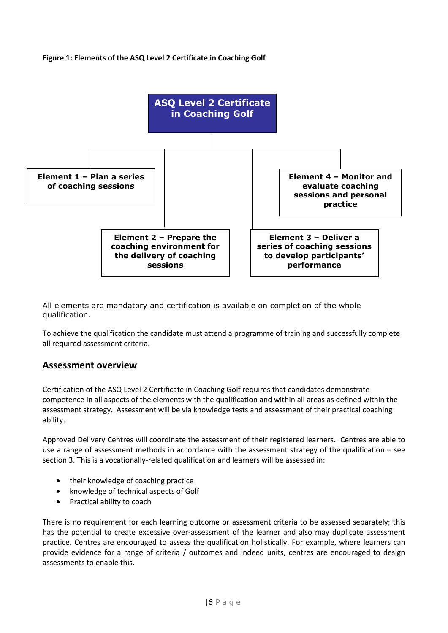#### **Figure 1: Elements of the ASQ Level 2 Certificate in Coaching Golf**



All elements are mandatory and certification is available on completion of the whole qualification.

To achieve the qualification the candidate must attend a programme of training and successfully complete all required assessment criteria.

#### **Assessment overview**

Certification of the ASQ Level 2 Certificate in Coaching Golf requires that candidates demonstrate competence in all aspects of the elements with the qualification and within all areas as defined within the assessment strategy. Assessment will be via knowledge tests and assessment of their practical coaching ability.

Approved Delivery Centres will coordinate the assessment of their registered learners. Centres are able to use a range of assessment methods in accordance with the assessment strategy of the qualification – see section 3. This is a vocationally-related qualification and learners will be assessed in:

- their knowledge of coaching practice
- knowledge of technical aspects of Golf
- Practical ability to coach

There is no requirement for each learning outcome or assessment criteria to be assessed separately; this has the potential to create excessive over-assessment of the learner and also may duplicate assessment practice. Centres are encouraged to assess the qualification holistically. For example, where learners can provide evidence for a range of criteria / outcomes and indeed units, centres are encouraged to design assessments to enable this.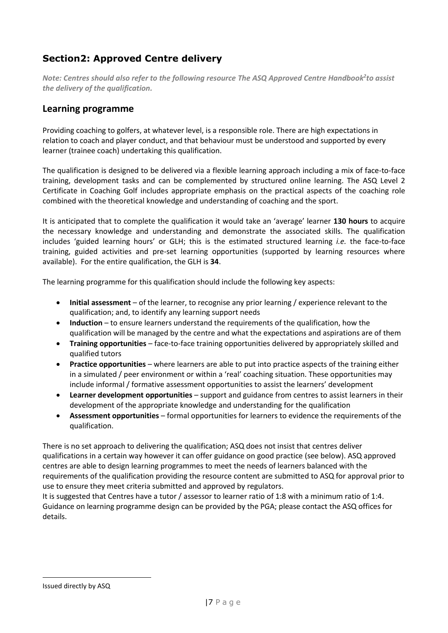## **Section2: Approved Centre delivery**

*Note: Centres should also refer to the following resource The ASQ Approved Centre Handbook<sup>2</sup> to assist the delivery of the qualification.*

### **Learning programme**

Providing coaching to golfers, at whatever level, is a responsible role. There are high expectations in relation to coach and player conduct, and that behaviour must be understood and supported by every learner (trainee coach) undertaking this qualification.

The qualification is designed to be delivered via a flexible learning approach including a mix of face-to-face training, development tasks and can be complemented by structured online learning. The ASQ Level 2 Certificate in Coaching Golf includes appropriate emphasis on the practical aspects of the coaching role combined with the theoretical knowledge and understanding of coaching and the sport.

It is anticipated that to complete the qualification it would take an 'average' learner **130 hours** to acquire the necessary knowledge and understanding and demonstrate the associated skills. The qualification includes 'guided learning hours' or GLH; this is the estimated structured learning *i.e.* the face-to-face training, guided activities and pre-set learning opportunities (supported by learning resources where available). For the entire qualification, the GLH is **34**.

The learning programme for this qualification should include the following key aspects:

- **Initial assessment** of the learner, to recognise any prior learning / experience relevant to the qualification; and, to identify any learning support needs
- **Induction** to ensure learners understand the requirements of the qualification, how the qualification will be managed by the centre and what the expectations and aspirations are of them
- **Training opportunities** face-to-face training opportunities delivered by appropriately skilled and qualified tutors
- **Practice opportunities** where learners are able to put into practice aspects of the training either in a simulated / peer environment or within a 'real' coaching situation. These opportunities may include informal / formative assessment opportunities to assist the learners' development
- **Learner development opportunities**  support and guidance from centres to assist learners in their development of the appropriate knowledge and understanding for the qualification
- **Assessment opportunities** formal opportunities for learners to evidence the requirements of the qualification.

There is no set approach to delivering the qualification; ASQ does not insist that centres deliver qualifications in a certain way however it can offer guidance on good practice (see below). ASQ approved centres are able to design learning programmes to meet the needs of learners balanced with the requirements of the qualification providing the resource content are submitted to ASQ for approval prior to use to ensure they meet criteria submitted and approved by regulators.

It is suggested that Centres have a tutor / assessor to learner ratio of 1:8 with a minimum ratio of 1:4. Guidance on learning programme design can be provided by the PGA; please contact the ASQ offices for details.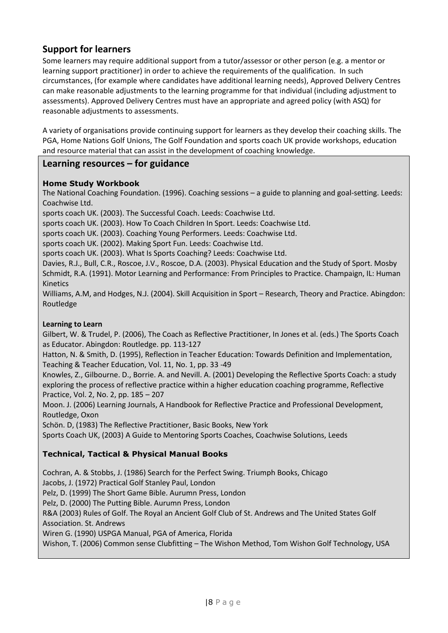## **Support for learners**

Some learners may require additional support from a tutor/assessor or other person (e.g. a mentor or learning support practitioner) in order to achieve the requirements of the qualification. In such circumstances, (for example where candidates have additional learning needs), Approved Delivery Centres can make reasonable adjustments to the learning programme for that individual (including adjustment to assessments). Approved Delivery Centres must have an appropriate and agreed policy (with ASQ) for reasonable adjustments to assessments.

A variety of organisations provide continuing support for learners as they develop their coaching skills. The PGA, Home Nations Golf Unions, The Golf Foundation and sports coach UK provide workshops, education and resource material that can assist in the development of coaching knowledge.

### **Learning resources – for guidance**

#### **Home Study Workbook**

The National Coaching Foundation. (1996). Coaching sessions – a guide to planning and goal-setting. Leeds: Coachwise Ltd.

sports coach UK. (2003). The Successful Coach. Leeds: Coachwise Ltd.

sports coach UK. (2003). How To Coach Children In Sport. Leeds: Coachwise Ltd.

sports coach UK. (2003). Coaching Young Performers. Leeds: Coachwise Ltd.

sports coach UK. (2002). Making Sport Fun. Leeds: Coachwise Ltd.

sports coach UK. (2003). What Is Sports Coaching? Leeds: Coachwise Ltd.

Davies, R.J., Bull, C.R., Roscoe, J.V., Roscoe, D.A. (2003). Physical Education and the Study of Sport. Mosby Schmidt, R.A. (1991). Motor Learning and Performance: From Principles to Practice. Champaign, IL: Human Kinetics

Williams, A.M, and Hodges, N.J. (2004). Skill Acquisition in Sport – Research, Theory and Practice. Abingdon: Routledge

#### **Learning to Learn**

Gilbert, W. & Trudel, P. (2006), The Coach as Reflective Practitioner, In Jones et al. (eds.) The Sports Coach as Educator. Abingdon: Routledge. pp. 113-127

Hatton, N. & Smith, D. (1995), Reflection in Teacher Education: Towards Definition and Implementation, Teaching & Teacher Education, Vol. 11, No. 1, pp. 33 -49

Knowles, Z., Gilbourne. D., Borrie. A. and Nevill. A. (2001) Developing the Reflective Sports Coach: a study exploring the process of reflective practice within a higher education coaching programme, Reflective Practice, Vol. 2, No. 2, pp. 185 – 207

Moon. J. (2006) Learning Journals, A Handbook for Reflective Practice and Professional Development, Routledge, Oxon

Schön. D, (1983) The Reflective Practitioner, Basic Books, New York

Sports Coach UK, (2003) A Guide to Mentoring Sports Coaches, Coachwise Solutions, Leeds

#### **Technical, Tactical & Physical Manual Books**

Cochran, A. & Stobbs, J. (1986) Search for the Perfect Swing. Triumph Books, Chicago

Jacobs, J. (1972) Practical Golf Stanley Paul, London

Pelz, D. (1999) The Short Game Bible. Aurumn Press, London

Pelz, D. (2000) The Putting Bible. Aurumn Press, London

R&A (2003) Rules of Golf. The Royal an Ancient Golf Club of St. Andrews and The United States Golf Association. St. Andrews

Wiren G. (1990) USPGA Manual, PGA of America, Florida

Wishon, T. (2006) Common sense Clubfitting – The Wishon Method, Tom Wishon Golf Technology, USA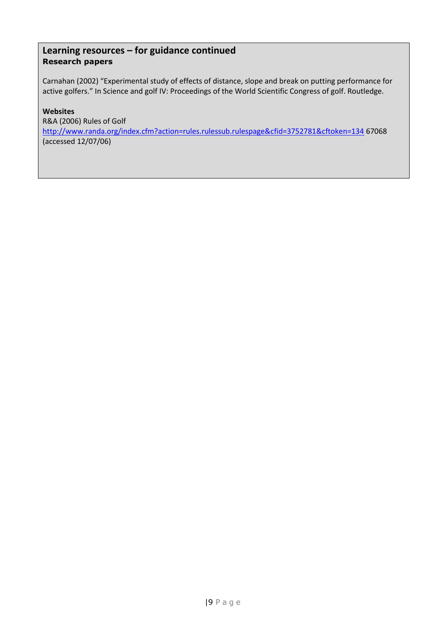### **Learning resources – for guidance continued Research papers**

Carnahan (2002) "Experimental study of effects of distance, slope and break on putting performance for active golfers." In Science and golf IV: Proceedings of the World Scientific Congress of golf. Routledge.

#### **Websites**

R&A (2006) Rules of Golf <http://www.randa.org/index.cfm?action=rules.rulessub.rulespage&cfid=3752781&cftoken=134> 67068 (accessed 12/07/06)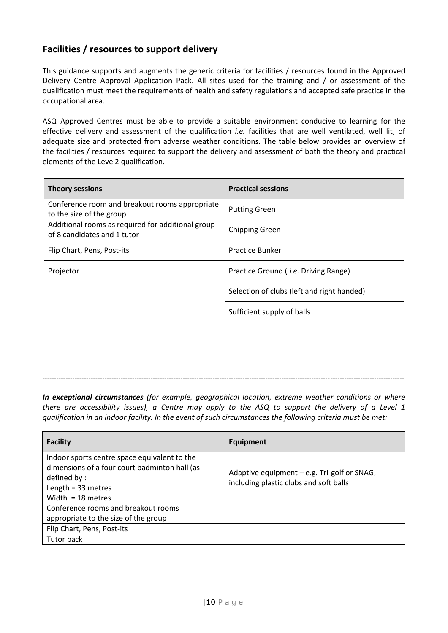## **Facilities / resources to support delivery**

This guidance supports and augments the generic criteria for facilities / resources found in the Approved Delivery Centre Approval Application Pack. All sites used for the training and / or assessment of the qualification must meet the requirements of health and safety regulations and accepted safe practice in the occupational area.

ASQ Approved Centres must be able to provide a suitable environment conducive to learning for the effective delivery and assessment of the qualification *i.e.* facilities that are well ventilated, well lit, of adequate size and protected from adverse weather conditions. The table below provides an overview of the facilities / resources required to support the delivery and assessment of both the theory and practical elements of the Leve 2 qualification.

| <b>Theory sessions</b>                                                           | <b>Practical sessions</b>                    |  |  |
|----------------------------------------------------------------------------------|----------------------------------------------|--|--|
| Conference room and breakout rooms appropriate<br>to the size of the group       | <b>Putting Green</b>                         |  |  |
| Additional rooms as required for additional group<br>of 8 candidates and 1 tutor | <b>Chipping Green</b>                        |  |  |
| Flip Chart, Pens, Post-its                                                       | <b>Practice Bunker</b>                       |  |  |
| Projector                                                                        | Practice Ground ( <i>i.e.</i> Driving Range) |  |  |
|                                                                                  | Selection of clubs (left and right handed)   |  |  |
|                                                                                  | Sufficient supply of balls                   |  |  |
|                                                                                  |                                              |  |  |
|                                                                                  |                                              |  |  |

*In exceptional circumstances (for example, geographical location, extreme weather conditions or where there are accessibility issues), a Centre may apply to the ASQ to support the delivery of a Level 1 qualification in an indoor facility. In the event of such circumstances the following criteria must be met:*

*-------------------------------------------------------------------------------------------------------------------------------------------------------------*

| <b>Facility</b>                                                                                                                                             | Equipment                                                                             |
|-------------------------------------------------------------------------------------------------------------------------------------------------------------|---------------------------------------------------------------------------------------|
| Indoor sports centre space equivalent to the<br>dimensions of a four court badminton hall (as<br>defined by:<br>Length = $33$ metres<br>Width = $18$ metres | Adaptive equipment - e.g. Tri-golf or SNAG,<br>including plastic clubs and soft balls |
| Conference rooms and breakout rooms<br>appropriate to the size of the group                                                                                 |                                                                                       |
| Flip Chart, Pens, Post-its                                                                                                                                  |                                                                                       |
| Tutor pack                                                                                                                                                  |                                                                                       |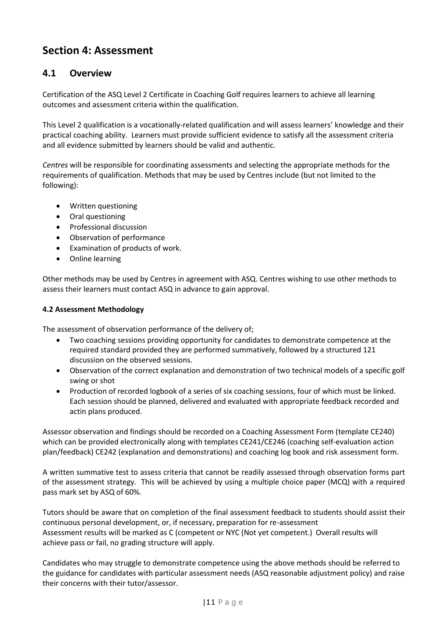## <span id="page-11-0"></span>**Section 4: Assessment**

### **4.1 Overview**

Certification of the ASQ Level 2 Certificate in Coaching Golf requires learners to achieve all learning outcomes and assessment criteria within the qualification.

This Level 2 qualification is a vocationally-related qualification and will assess learners' knowledge and their practical coaching ability. Learners must provide sufficient evidence to satisfy all the assessment criteria and all evidence submitted by learners should be valid and authentic.

*Centres* will be responsible for coordinating assessments and selecting the appropriate methods for the requirements of qualification. Methods that may be used by Centres include (but not limited to the following):

- Written questioning
- Oral questioning
- Professional discussion
- Observation of performance
- Examination of products of work.
- Online learning

Other methods may be used by Centres in agreement with ASQ. Centres wishing to use other methods to assess their learners must contact ASQ in advance to gain approval.

#### **4.2 Assessment Methodology**

The assessment of observation performance of the delivery of;

- Two coaching sessions providing opportunity for candidates to demonstrate competence at the required standard provided they are performed summatively, followed by a structured 121 discussion on the observed sessions.
- Observation of the correct explanation and demonstration of two technical models of a specific golf swing or shot
- Production of recorded logbook of a series of six coaching sessions, four of which must be linked. Each session should be planned, delivered and evaluated with appropriate feedback recorded and actin plans produced.

Assessor observation and findings should be recorded on a Coaching Assessment Form (template CE240) which can be provided electronically along with templates CE241/CE246 (coaching self-evaluation action plan/feedback) CE242 (explanation and demonstrations) and coaching log book and risk assessment form.

A written summative test to assess criteria that cannot be readily assessed through observation forms part of the assessment strategy. This will be achieved by using a multiple choice paper (MCQ) with a required pass mark set by ASQ of 60%.

Tutors should be aware that on completion of the final assessment feedback to students should assist their continuous personal development, or, if necessary, preparation for re-assessment Assessment results will be marked as C (competent or NYC (Not yet competent.) Overall results will achieve pass or fail, no grading structure will apply.

Candidates who may struggle to demonstrate competence using the above methods should be referred to the guidance for candidates with particular assessment needs (ASQ reasonable adjustment policy) and raise their concerns with their tutor/assessor.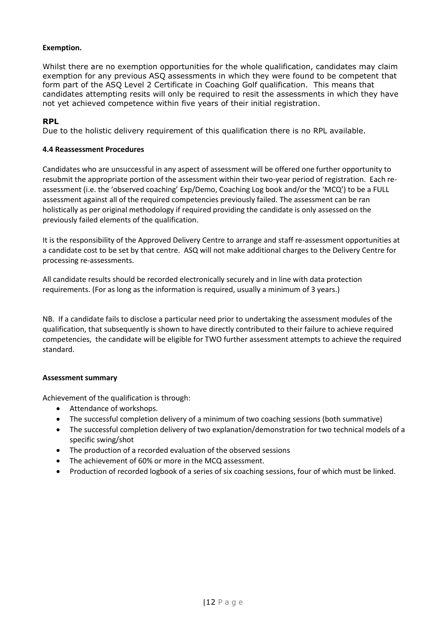#### **Exemption.**

Whilst there are no exemption opportunities for the whole qualification, candidates may claim exemption for any previous ASQ assessments in which they were found to be competent that form part of the ASQ Level 2 Certificate in Coaching Golf qualification. This means that candidates attempting resits will only be required to resit the assessments in which they have not yet achieved competence within five years of their initial registration.

#### **RPL**

Due to the holistic delivery requirement of this qualification there is no RPL available.

#### **4.4 Reassessment Procedures**

Candidates who are unsuccessful in any aspect of assessment will be offered one further opportunity to resubmit the appropriate portion of the assessment within their two-year period of registration. Each reassessment (i.e. the 'observed coaching' Exp/Demo, Coaching Log book and/or the 'MCQ') to be a FULL assessment against all of the required competencies previously failed. The assessment can be ran holistically as per original methodology if required providing the candidate is only assessed on the previously failed elements of the qualification.

It is the responsibility of the Approved Delivery Centre to arrange and staff re-assessment opportunities at a candidate cost to be set by that centre. ASQ will not make additional charges to the Delivery Centre for processing re-assessments.

All candidate results should be recorded electronically securely and in line with data protection requirements. (For as long as the information is required, usually a minimum of 3 years.)

NB. If a candidate fails to disclose a particular need prior to undertaking the assessment modules of the qualification, that subsequently is shown to have directly contributed to their failure to achieve required competencies, the candidate will be eligible for TWO further assessment attempts to achieve the required standard.

#### **Assessment summary**

Achievement of the qualification is through:

- Attendance of workshops.
- The successful completion delivery of a minimum of two coaching sessions (both summative)
- The successful completion delivery of two explanation/demonstration for two technical models of a specific swing/shot
- The production of a recorded evaluation of the observed sessions
- The achievement of 60% or more in the MCQ assessment.
- Production of recorded logbook of a series of six coaching sessions, four of which must be linked.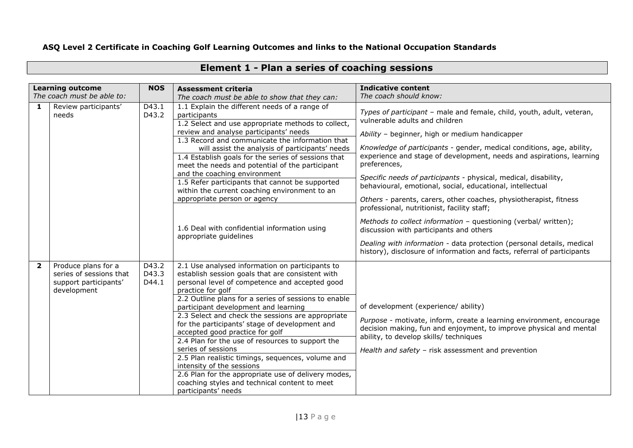### **ASQ Level 2 Certificate in Coaching Golf Learning Outcomes and links to the National Occupation Standards**

|                            | <b>Learning outcome</b>                                                                | <b>NOS</b>              | <b>Assessment criteria</b>                                                                                                                                                                                                                                                                                                                                                                                                                                                                                                                                                                                                                                                               | <b>Indicative content</b>                                                                                                                                                                                                                                                          |                                                                                                         |
|----------------------------|----------------------------------------------------------------------------------------|-------------------------|------------------------------------------------------------------------------------------------------------------------------------------------------------------------------------------------------------------------------------------------------------------------------------------------------------------------------------------------------------------------------------------------------------------------------------------------------------------------------------------------------------------------------------------------------------------------------------------------------------------------------------------------------------------------------------------|------------------------------------------------------------------------------------------------------------------------------------------------------------------------------------------------------------------------------------------------------------------------------------|---------------------------------------------------------------------------------------------------------|
| The coach must be able to: |                                                                                        |                         | The coach must be able to show that they can:                                                                                                                                                                                                                                                                                                                                                                                                                                                                                                                                                                                                                                            | The coach should know:                                                                                                                                                                                                                                                             |                                                                                                         |
| 1                          | Review participants'<br>needs                                                          | D43.1<br>D43.2          |                                                                                                                                                                                                                                                                                                                                                                                                                                                                                                                                                                                                                                                                                          | 1.1 Explain the different needs of a range of<br>participants<br>1.2 Select and use appropriate methods to collect,                                                                                                                                                                | Types of participant - male and female, child, youth, adult, veteran,<br>vulnerable adults and children |
|                            |                                                                                        |                         | review and analyse participants' needs<br>1.3 Record and communicate the information that                                                                                                                                                                                                                                                                                                                                                                                                                                                                                                                                                                                                | Ability - beginner, high or medium handicapper                                                                                                                                                                                                                                     |                                                                                                         |
|                            |                                                                                        |                         | will assist the analysis of participants' needs<br>1.4 Establish goals for the series of sessions that<br>meet the needs and potential of the participant                                                                                                                                                                                                                                                                                                                                                                                                                                                                                                                                | Knowledge of participants - gender, medical conditions, age, ability,<br>experience and stage of development, needs and aspirations, learning<br>preferences,                                                                                                                      |                                                                                                         |
|                            |                                                                                        |                         | and the coaching environment<br>1.5 Refer participants that cannot be supported<br>within the current coaching environment to an                                                                                                                                                                                                                                                                                                                                                                                                                                                                                                                                                         | Specific needs of participants - physical, medical, disability,<br>behavioural, emotional, social, educational, intellectual                                                                                                                                                       |                                                                                                         |
|                            |                                                                                        |                         | appropriate person or agency                                                                                                                                                                                                                                                                                                                                                                                                                                                                                                                                                                                                                                                             | Others - parents, carers, other coaches, physiotherapist, fitness<br>professional, nutritionist, facility staff;                                                                                                                                                                   |                                                                                                         |
|                            |                                                                                        |                         | 1.6 Deal with confidential information using<br>appropriate quidelines                                                                                                                                                                                                                                                                                                                                                                                                                                                                                                                                                                                                                   | Methods to collect information - questioning (verbal/ written);<br>discussion with participants and others                                                                                                                                                                         |                                                                                                         |
|                            |                                                                                        |                         |                                                                                                                                                                                                                                                                                                                                                                                                                                                                                                                                                                                                                                                                                          | Dealing with information - data protection (personal details, medical<br>history), disclosure of information and facts, referral of participants                                                                                                                                   |                                                                                                         |
| $\overline{\mathbf{2}}$    | Produce plans for a<br>series of sessions that<br>support participants'<br>development | D43.2<br>D43.3<br>D44.1 | 2.1 Use analysed information on participants to<br>establish session goals that are consistent with<br>personal level of competence and accepted good<br>practice for golf<br>2.2 Outline plans for a series of sessions to enable<br>participant development and learning<br>2.3 Select and check the sessions are appropriate<br>for the participants' stage of development and<br>accepted good practice for golf<br>2.4 Plan for the use of resources to support the<br>series of sessions<br>2.5 Plan realistic timings, sequences, volume and<br>intensity of the sessions<br>2.6 Plan for the appropriate use of delivery modes,<br>coaching styles and technical content to meet | of development (experience/ ability)<br>Purpose - motivate, inform, create a learning environment, encourage<br>decision making, fun and enjoyment, to improve physical and mental<br>ability, to develop skills/ techniques<br>Health and safety - risk assessment and prevention |                                                                                                         |
|                            |                                                                                        |                         | participants' needs                                                                                                                                                                                                                                                                                                                                                                                                                                                                                                                                                                                                                                                                      |                                                                                                                                                                                                                                                                                    |                                                                                                         |

## **Element 1 - Plan a series of coaching sessions**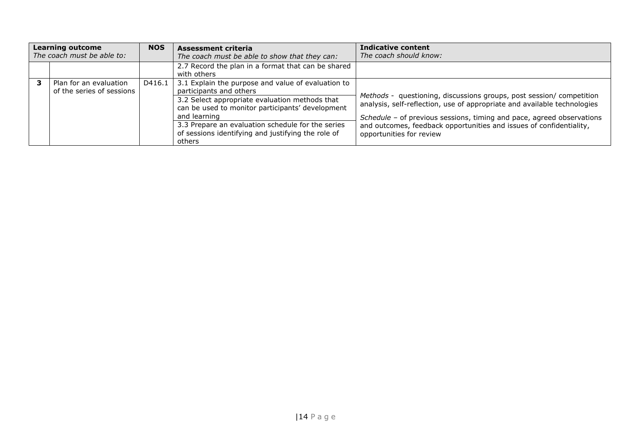| <b>Learning outcome</b><br>The coach must be able to: |                                                     | <b>NOS</b> | Assessment criteria<br>The coach must be able to show that they can:                               | Indicative content<br>The coach should know:                                                                                                 |
|-------------------------------------------------------|-----------------------------------------------------|------------|----------------------------------------------------------------------------------------------------|----------------------------------------------------------------------------------------------------------------------------------------------|
|                                                       |                                                     |            | 2.7 Record the plan in a format that can be shared<br>with others                                  |                                                                                                                                              |
|                                                       | Plan for an evaluation<br>of the series of sessions | D416.1     | 3.1 Explain the purpose and value of evaluation to<br>participants and others                      | Methods - questioning, discussions groups, post session/ competition                                                                         |
|                                                       |                                                     |            | 3.2 Select appropriate evaluation methods that<br>can be used to monitor participants' development | analysis, self-reflection, use of appropriate and available technologies                                                                     |
|                                                       |                                                     |            | and learning<br>3.3 Prepare an evaluation schedule for the series                                  | Schedule - of previous sessions, timing and pace, agreed observations<br>and outcomes, feedback opportunities and issues of confidentiality, |
|                                                       |                                                     |            | of sessions identifying and justifying the role of                                                 | opportunities for review                                                                                                                     |
|                                                       |                                                     |            | others                                                                                             |                                                                                                                                              |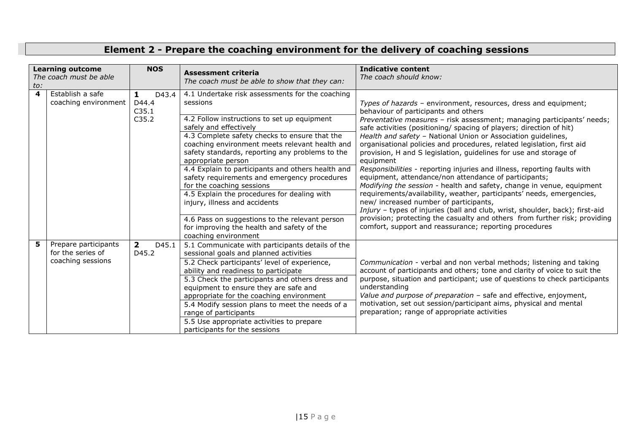## **Element 2 - Prepare the coaching environment for the delivery of coaching sessions**

| <b>Learning outcome</b><br>The coach must be able<br>to: |                                           | <b>NOS</b>                     | <b>Assessment criteria</b><br>The coach must be able to show that they can:                                                                                              | <b>Indicative content</b><br>The coach should know:                                                                                                                                                                       |
|----------------------------------------------------------|-------------------------------------------|--------------------------------|--------------------------------------------------------------------------------------------------------------------------------------------------------------------------|---------------------------------------------------------------------------------------------------------------------------------------------------------------------------------------------------------------------------|
| 4                                                        | Establish a safe<br>coaching environment  | D43.4<br>1<br>D44.4<br>C35.1   | 4.1 Undertake risk assessments for the coaching<br>sessions                                                                                                              | Types of hazards - environment, resources, dress and equipment;<br>behaviour of participants and others                                                                                                                   |
|                                                          |                                           | C35.2                          | 4.2 Follow instructions to set up equipment<br>safely and effectively                                                                                                    | Preventative measures - risk assessment; managing participants' needs;<br>safe activities (positioning/ spacing of players; direction of hit)                                                                             |
|                                                          |                                           |                                | 4.3 Complete safety checks to ensure that the<br>coaching environment meets relevant health and<br>safety standards, reporting any problems to the<br>appropriate person | Health and safety - National Union or Association guidelines,<br>organisational policies and procedures, related legislation, first aid<br>provision, H and S legislation, guidelines for use and storage of<br>equipment |
|                                                          |                                           |                                | 4.4 Explain to participants and others health and<br>safety requirements and emergency procedures<br>for the coaching sessions                                           | Responsibilities - reporting injuries and illness, reporting faults with<br>equipment, attendance/non attendance of participants;<br>Modifying the session - health and safety, change in venue, equipment                |
|                                                          |                                           |                                | 4.5 Explain the procedures for dealing with<br>injury, illness and accidents                                                                                             | requirements/availability, weather, participants' needs, emergencies,<br>new/ increased number of participants,<br>Injury - types of injuries (ball and club, wrist, shoulder, back); first-aid                           |
|                                                          |                                           |                                | 4.6 Pass on suggestions to the relevant person<br>for improving the health and safety of the<br>coaching environment                                                     | provision; protecting the casualty and others from further risk; providing<br>comfort, support and reassurance; reporting procedures                                                                                      |
| 5.                                                       | Prepare participants<br>for the series of | $\mathbf{2}$<br>D45.1<br>D45.2 | 5.1 Communicate with participants details of the<br>sessional goals and planned activities                                                                               |                                                                                                                                                                                                                           |
|                                                          | coaching sessions                         |                                | 5.2 Check participants' level of experience,<br>ability and readiness to participate                                                                                     | Communication - verbal and non verbal methods; listening and taking<br>account of participants and others; tone and clarity of voice to suit the                                                                          |
|                                                          |                                           |                                | 5.3 Check the participants and others dress and<br>equipment to ensure they are safe and                                                                                 | purpose, situation and participant; use of questions to check participants<br>understanding                                                                                                                               |
|                                                          |                                           |                                | appropriate for the coaching environment<br>5.4 Modify session plans to meet the needs of a                                                                              | Value and purpose of preparation - safe and effective, enjoyment,<br>motivation, set out session/participant aims, physical and mental                                                                                    |
|                                                          |                                           |                                | range of participants                                                                                                                                                    | preparation; range of appropriate activities                                                                                                                                                                              |
|                                                          |                                           |                                | 5.5 Use appropriate activities to prepare<br>participants for the sessions                                                                                               |                                                                                                                                                                                                                           |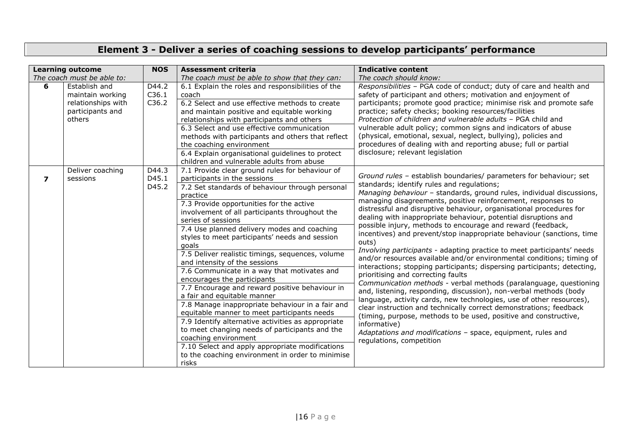## **Element 3 - Deliver a series of coaching sessions to develop participants' performance**

|                         | <b>Learning outcome</b>    | <b>NOS</b> | <b>Assessment criteria</b>                              | <b>Indicative content</b>                                                               |
|-------------------------|----------------------------|------------|---------------------------------------------------------|-----------------------------------------------------------------------------------------|
|                         | The coach must be able to: |            | The coach must be able to show that they can:           | The coach should know:                                                                  |
| 6                       | Establish and              | D44.2      | 6.1 Explain the roles and responsibilities of the       | Responsibilities - PGA code of conduct; duty of care and health and                     |
|                         | maintain working           | C36.1      | coach                                                   | safety of participant and others; motivation and enjoyment of                           |
|                         | relationships with         | C36.2      | 6.2 Select and use effective methods to create          | participants; promote good practice; minimise risk and promote safe                     |
|                         | participants and           |            | and maintain positive and equitable working             | practice; safety checks; booking resources/facilities                                   |
|                         | others                     |            | relationships with participants and others              | Protection of children and vulnerable adults - PGA child and                            |
|                         |                            |            | 6.3 Select and use effective communication              | vulnerable adult policy; common signs and indicators of abuse                           |
|                         |                            |            | methods with participants and others that reflect       | (physical, emotional, sexual, neglect, bullying), policies and                          |
|                         |                            |            | the coaching environment                                | procedures of dealing with and reporting abuse; full or partial                         |
|                         |                            |            | 6.4 Explain organisational guidelines to protect        | disclosure; relevant legislation                                                        |
|                         |                            |            | children and vulnerable adults from abuse               |                                                                                         |
|                         | Deliver coaching           | D44.3      | 7.1 Provide clear ground rules for behaviour of         | Ground rules - establish boundaries/ parameters for behaviour; set                      |
| $\overline{\mathbf{z}}$ | sessions                   | D45.1      | participants in the sessions                            | standards; identify rules and regulations;                                              |
|                         |                            | D45.2      | 7.2 Set standards of behaviour through personal         | Managing behaviour - standards, ground rules, individual discussions,                   |
|                         |                            |            | practice                                                | managing disagreements, positive reinforcement, responses to                            |
|                         |                            |            | 7.3 Provide opportunities for the active                | distressful and disruptive behaviour, organisational procedures for                     |
|                         |                            |            | involvement of all participants throughout the          | dealing with inappropriate behaviour, potential disruptions and                         |
|                         |                            |            | series of sessions                                      | possible injury, methods to encourage and reward (feedback,                             |
|                         |                            |            | 7.4 Use planned delivery modes and coaching             | incentives) and prevent/stop inappropriate behaviour (sanctions, time                   |
|                         |                            |            | styles to meet participants' needs and session<br>goals | outs)                                                                                   |
|                         |                            |            | 7.5 Deliver realistic timings, sequences, volume        | Involving participants - adapting practice to meet participants' needs                  |
|                         |                            |            | and intensity of the sessions                           | and/or resources available and/or environmental conditions; timing of                   |
|                         |                            |            | 7.6 Communicate in a way that motivates and             | interactions; stopping participants; dispersing participants; detecting,                |
|                         |                            |            | encourages the participants                             | prioritising and correcting faults                                                      |
|                         |                            |            | 7.7 Encourage and reward positive behaviour in          | Communication methods - verbal methods (paralanguage, questioning                       |
|                         |                            |            | a fair and equitable manner                             | and, listening, responding, discussion), non-verbal methods (body                       |
|                         |                            |            | 7.8 Manage inappropriate behaviour in a fair and        | language, activity cards, new technologies, use of other resources),                    |
|                         |                            |            | equitable manner to meet participants needs             | clear instruction and technically correct demonstrations; feedback                      |
|                         |                            |            | 7.9 Identify alternative activities as appropriate      | (timing, purpose, methods to be used, positive and constructive,                        |
|                         |                            |            | to meet changing needs of participants and the          | informative)                                                                            |
|                         |                            |            | coaching environment                                    | Adaptations and modifications - space, equipment, rules and<br>regulations, competition |
|                         |                            |            | 7.10 Select and apply appropriate modifications         |                                                                                         |
|                         |                            |            | to the coaching environment in order to minimise        |                                                                                         |
|                         |                            |            | risks                                                   |                                                                                         |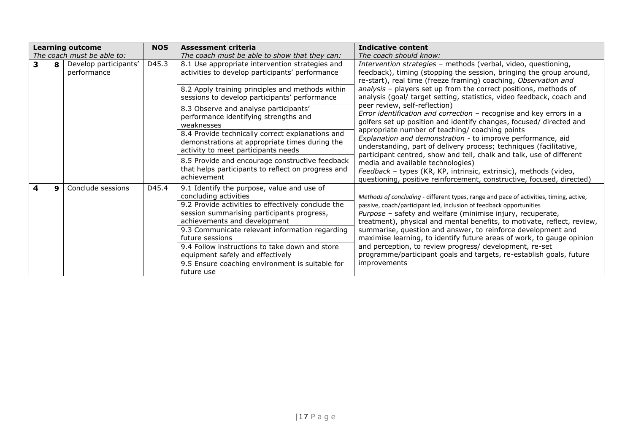|   |   | <b>Learning outcome</b>              | <b>NOS</b> | <b>Assessment criteria</b>                                                                                                                                                                              | Indicative content                                                                                                                                                                                                                                                                                     |
|---|---|--------------------------------------|------------|---------------------------------------------------------------------------------------------------------------------------------------------------------------------------------------------------------|--------------------------------------------------------------------------------------------------------------------------------------------------------------------------------------------------------------------------------------------------------------------------------------------------------|
|   |   | The coach must be able to:           |            | The coach must be able to show that they can:                                                                                                                                                           | The coach should know:                                                                                                                                                                                                                                                                                 |
| 3 | 8 | Develop participants'<br>performance | D45.3      | 8.1 Use appropriate intervention strategies and<br>activities to develop participants' performance                                                                                                      | Intervention strategies - methods (verbal, video, questioning,<br>feedback), timing (stopping the session, bringing the group around,<br>re-start), real time (freeze framing) coaching, Observation and                                                                                               |
|   |   |                                      |            | 8.2 Apply training principles and methods within<br>sessions to develop participants' performance                                                                                                       | analysis - players set up from the correct positions, methods of<br>analysis (goal/ target setting, statistics, video feedback, coach and                                                                                                                                                              |
|   |   |                                      |            | 8.3 Observe and analyse participants'<br>performance identifying strengths and<br>weaknesses                                                                                                            | peer review, self-reflection)<br>Error identification and correction - recognise and key errors in a<br>golfers set up position and identify changes, focused/ directed and                                                                                                                            |
|   |   |                                      |            | 8.4 Provide technically correct explanations and<br>demonstrations at appropriate times during the<br>activity to meet participants needs                                                               | appropriate number of teaching/ coaching points<br>Explanation and demonstration - to improve performance, aid<br>understanding, part of delivery process; techniques (facilitative,<br>participant centred, show and tell, chalk and talk, use of different                                           |
|   |   |                                      |            | 8.5 Provide and encourage constructive feedback<br>that helps participants to reflect on progress and<br>achievement                                                                                    | media and available technologies)<br>Feedback - types (KR, KP, intrinsic, extrinsic), methods (video,<br>questioning, positive reinforcement, constructive, focused, directed)                                                                                                                         |
|   |   | Conclude sessions                    | D45.4      | 9.1 Identify the purpose, value and use of<br>concluding activities<br>9.2 Provide activities to effectively conclude the<br>session summarising participants progress,<br>achievements and development | Methods of concluding - different types, range and pace of activities, timing, active,<br>passive, coach/participant led, inclusion of feedback opportunities<br>Purpose - safety and welfare (minimise injury, recuperate,<br>treatment), physical and mental benefits, to motivate, reflect, review, |
|   |   |                                      |            | 9.3 Communicate relevant information regarding<br>future sessions<br>9.4 Follow instructions to take down and store                                                                                     | summarise, question and answer, to reinforce development and<br>maximise learning, to identify future areas of work, to gauge opinion<br>and perception, to review progress/ development, re-set                                                                                                       |
|   |   |                                      |            | equipment safely and effectively<br>9.5 Ensure coaching environment is suitable for                                                                                                                     | programme/participant goals and targets, re-establish goals, future<br>improvements                                                                                                                                                                                                                    |
|   |   |                                      |            | future use                                                                                                                                                                                              |                                                                                                                                                                                                                                                                                                        |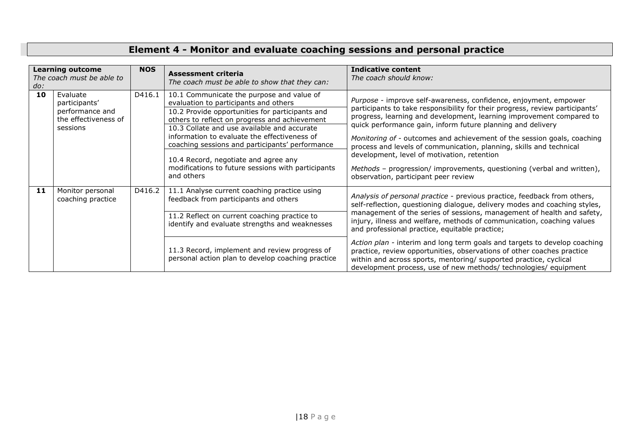## **Element 4 - Monitor and evaluate coaching sessions and personal practice**

| <b>Learning outcome</b><br>The coach must be able to<br>do: |                                                                                  | <b>NOS</b> | Assessment criteria<br>The coach must be able to show that they can:                                                                                                                                                                                                                                                                                                                                                                                 | <b>Indicative content</b><br>The coach should know:                                                                                                                                                                                                                                                                                                                                                                                                                                                                                                                                                                                                          |
|-------------------------------------------------------------|----------------------------------------------------------------------------------|------------|------------------------------------------------------------------------------------------------------------------------------------------------------------------------------------------------------------------------------------------------------------------------------------------------------------------------------------------------------------------------------------------------------------------------------------------------------|--------------------------------------------------------------------------------------------------------------------------------------------------------------------------------------------------------------------------------------------------------------------------------------------------------------------------------------------------------------------------------------------------------------------------------------------------------------------------------------------------------------------------------------------------------------------------------------------------------------------------------------------------------------|
| 10                                                          | Evaluate<br>participants'<br>performance and<br>the effectiveness of<br>sessions | D416.1     | 10.1 Communicate the purpose and value of<br>evaluation to participants and others<br>10.2 Provide opportunities for participants and<br>others to reflect on progress and achievement<br>10.3 Collate and use available and accurate<br>information to evaluate the effectiveness of<br>coaching sessions and participants' performance<br>10.4 Record, negotiate and agree any<br>modifications to future sessions with participants<br>and others | Purpose - improve self-awareness, confidence, enjoyment, empower<br>participants to take responsibility for their progress, review participants'<br>progress, learning and development, learning improvement compared to<br>quick performance gain, inform future planning and delivery<br>Monitoring of - outcomes and achievement of the session goals, coaching<br>process and levels of communication, planning, skills and technical<br>development, level of motivation, retention<br>Methods - progression/ improvements, questioning (verbal and written),<br>observation, participant peer review                                                   |
| 11                                                          | Monitor personal<br>coaching practice                                            | D416.2     | 11.1 Analyse current coaching practice using<br>feedback from participants and others<br>11.2 Reflect on current coaching practice to<br>identify and evaluate strengths and weaknesses<br>11.3 Record, implement and review progress of<br>personal action plan to develop coaching practice                                                                                                                                                        | Analysis of personal practice - previous practice, feedback from others,<br>self-reflection, questioning dialogue, delivery modes and coaching styles,<br>management of the series of sessions, management of health and safety,<br>injury, illness and welfare, methods of communication, coaching values<br>and professional practice, equitable practice;<br>Action plan - interim and long term goals and targets to develop coaching<br>practice, review opportunities, observations of other coaches practice<br>within and across sports, mentoring/ supported practice, cyclical<br>development process, use of new methods/ technologies/ equipment |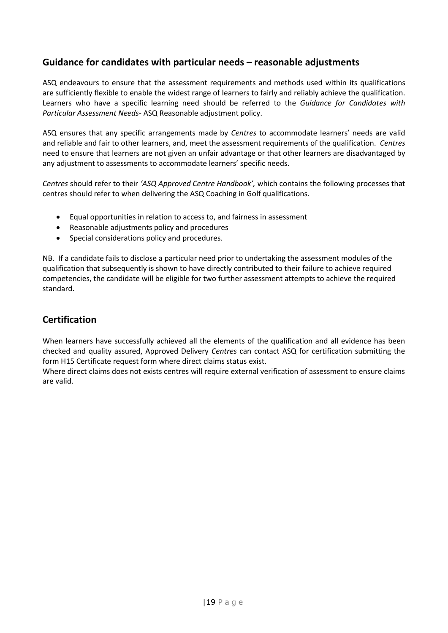### **Guidance for candidates with particular needs – reasonable adjustments**

ASQ endeavours to ensure that the assessment requirements and methods used within its qualifications are sufficiently flexible to enable the widest range of learners to fairly and reliably achieve the qualification. Learners who have a specific learning need should be referred to the *Guidance for Candidates with Particular Assessment Needs*- ASQ Reasonable adjustment policy.

ASQ ensures that any specific arrangements made by *Centres* to accommodate learners' needs are valid and reliable and fair to other learners, and, meet the assessment requirements of the qualification. *Centres* need to ensure that learners are not given an unfair advantage or that other learners are disadvantaged by any adjustment to assessments to accommodate learners' specific needs.

*Centres* should refer to their *'ASQ Approved Centre Handbook',* which contains the following processes that centres should refer to when delivering the ASQ Coaching in Golf qualifications.

- Equal opportunities in relation to access to, and fairness in assessment
- Reasonable adjustments policy and procedures
- Special considerations policy and procedures.

NB. If a candidate fails to disclose a particular need prior to undertaking the assessment modules of the qualification that subsequently is shown to have directly contributed to their failure to achieve required competencies, the candidate will be eligible for two further assessment attempts to achieve the required standard.

## **Certification**

When learners have successfully achieved all the elements of the qualification and all evidence has been checked and quality assured, Approved Delivery *Centres* can contact ASQ for certification submitting the form H15 Certificate request form where direct claims status exist.

Where direct claims does not exists centres will require external verification of assessment to ensure claims are valid.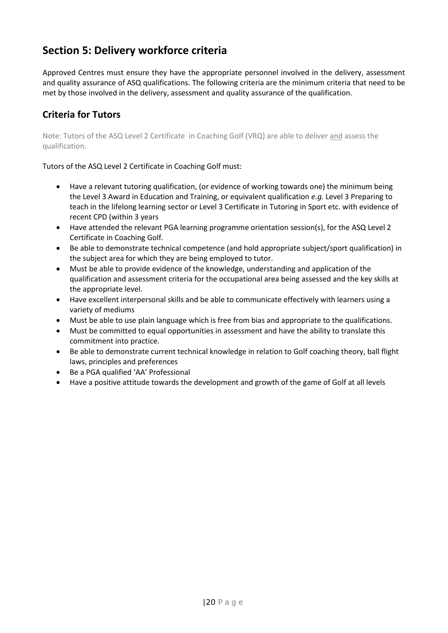## <span id="page-20-0"></span>**Section 5: Delivery workforce criteria**

Approved Centres must ensure they have the appropriate personnel involved in the delivery, assessment and quality assurance of ASQ qualifications. The following criteria are the minimum criteria that need to be met by those involved in the delivery, assessment and quality assurance of the qualification.

## **Criteria for Tutors**

Note: Tutors of the ASQ Level 2 Certificate in Coaching Golf (VRQ) are able to deliver and assess the qualification.

Tutors of the ASQ Level 2 Certificate in Coaching Golf must:

- Have a relevant tutoring qualification, (or evidence of working towards one) the minimum being the Level 3 Award in Education and Training, or equivalent qualification *e.g.* Level 3 Preparing to teach in the lifelong learning sector or Level 3 Certificate in Tutoring in Sport etc. with evidence of recent CPD (within 3 years
- Have attended the relevant PGA learning programme orientation session(s), for the ASQ Level 2 Certificate in Coaching Golf.
- Be able to demonstrate technical competence (and hold appropriate subject/sport qualification) in the subject area for which they are being employed to tutor.
- Must be able to provide evidence of the knowledge, understanding and application of the qualification and assessment criteria for the occupational area being assessed and the key skills at the appropriate level.
- Have excellent interpersonal skills and be able to communicate effectively with learners using a variety of mediums
- Must be able to use plain language which is free from bias and appropriate to the qualifications.
- Must be committed to equal opportunities in assessment and have the ability to translate this commitment into practice.
- Be able to demonstrate current technical knowledge in relation to Golf coaching theory, ball flight laws, principles and preferences
- Be a PGA qualified 'AA' Professional
- Have a positive attitude towards the development and growth of the game of Golf at all levels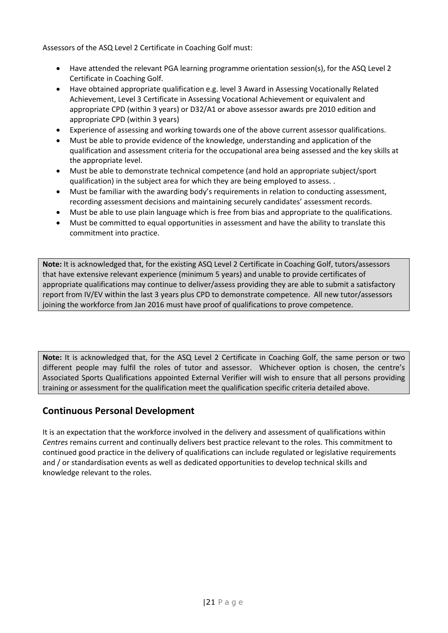Assessors of the ASQ Level 2 Certificate in Coaching Golf must:

- Have attended the relevant PGA learning programme orientation session(s), for the ASQ Level 2 Certificate in Coaching Golf.
- Have obtained appropriate qualification e.g. level 3 Award in Assessing Vocationally Related Achievement, Level 3 Certificate in Assessing Vocational Achievement or equivalent and appropriate CPD (within 3 years) or D32/A1 or above assessor awards pre 2010 edition and appropriate CPD (within 3 years)
- Experience of assessing and working towards one of the above current assessor qualifications.
- Must be able to provide evidence of the knowledge, understanding and application of the qualification and assessment criteria for the occupational area being assessed and the key skills at the appropriate level.
- Must be able to demonstrate technical competence (and hold an appropriate subject/sport qualification) in the subject area for which they are being employed to assess. .
- Must be familiar with the awarding body's requirements in relation to conducting assessment, recording assessment decisions and maintaining securely candidates' assessment records.
- Must be able to use plain language which is free from bias and appropriate to the qualifications.
- Must be committed to equal opportunities in assessment and have the ability to translate this commitment into practice.

**Note:** It is acknowledged that, for the existing ASQ Level 2 Certificate in Coaching Golf, tutors/assessors that have extensive relevant experience (minimum 5 years) and unable to provide certificates of appropriate qualifications may continue to deliver/assess providing they are able to submit a satisfactory report from IV/EV within the last 3 years plus CPD to demonstrate competence. All new tutor/assessors joining the workforce from Jan 2016 must have proof of qualifications to prove competence.

**Note:** It is acknowledged that, for the ASQ Level 2 Certificate in Coaching Golf, the same person or two different people may fulfil the roles of tutor and assessor. Whichever option is chosen, the centre's Associated Sports Qualifications appointed External Verifier will wish to ensure that all persons providing training or assessment for the qualification meet the qualification specific criteria detailed above.

### **Continuous Personal Development**

<span id="page-21-0"></span>It is an expectation that the workforce involved in the delivery and assessment of qualifications within *Centres* remains current and continually delivers best practice relevant to the roles. This commitment to continued good practice in the delivery of qualifications can include regulated or legislative requirements and / or standardisation events as well as dedicated opportunities to develop technical skills and knowledge relevant to the roles.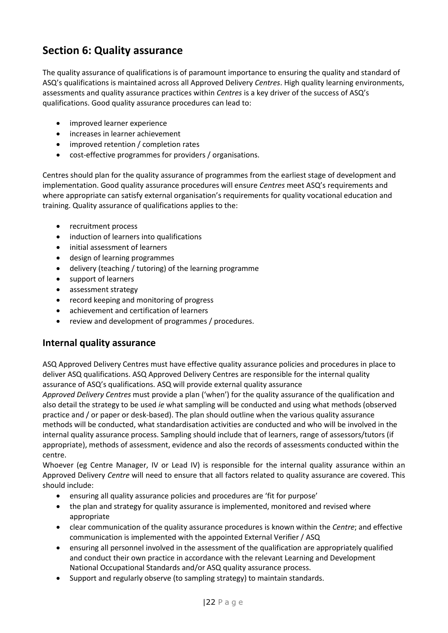## **Section 6: Quality assurance**

The quality assurance of qualifications is of paramount importance to ensuring the quality and standard of ASQ's qualifications is maintained across all Approved Delivery *Centres*. High quality learning environments, assessments and quality assurance practices within *Centres* is a key driver of the success of ASQ's qualifications. Good quality assurance procedures can lead to:

- improved learner experience
- increases in learner achievement
- improved retention / completion rates
- cost-effective programmes for providers / organisations.

Centres should plan for the quality assurance of programmes from the earliest stage of development and implementation. Good quality assurance procedures will ensure *Centres* meet ASQ's requirements and where appropriate can satisfy external organisation's requirements for quality vocational education and training. Quality assurance of qualifications applies to the:

- recruitment process
- induction of learners into qualifications
- initial assessment of learners
- design of learning programmes
- delivery (teaching / tutoring) of the learning programme
- support of learners
- assessment strategy
- record keeping and monitoring of progress
- achievement and certification of learners
- review and development of programmes / procedures.

#### **Internal quality assurance**

ASQ Approved Delivery Centres must have effective quality assurance policies and procedures in place to deliver ASQ qualifications. ASQ Approved Delivery Centres are responsible for the internal quality assurance of ASQ's qualifications. ASQ will provide external quality assurance

*Approved Delivery Centres* must provide a plan ('when') for the quality assurance of the qualification and also detail the strategy to be used *ie* what sampling will be conducted and using what methods (observed practice and / or paper or desk-based). The plan should outline when the various quality assurance methods will be conducted, what standardisation activities are conducted and who will be involved in the internal quality assurance process. Sampling should include that of learners, range of assessors/tutors (if appropriate), methods of assessment, evidence and also the records of assessments conducted within the centre.

Whoever (eg Centre Manager, IV or Lead IV) is responsible for the internal quality assurance within an Approved Delivery *Centre* will need to ensure that all factors related to quality assurance are covered. This should include:

- ensuring all quality assurance policies and procedures are 'fit for purpose'
- the plan and strategy for quality assurance is implemented, monitored and revised where appropriate
- clear communication of the quality assurance procedures is known within the *Centre*; and effective communication is implemented with the appointed External Verifier / ASQ
- ensuring all personnel involved in the assessment of the qualification are appropriately qualified and conduct their own practice in accordance with the relevant Learning and Development National Occupational Standards and/or ASQ quality assurance process.
- Support and regularly observe (to sampling strategy) to maintain standards.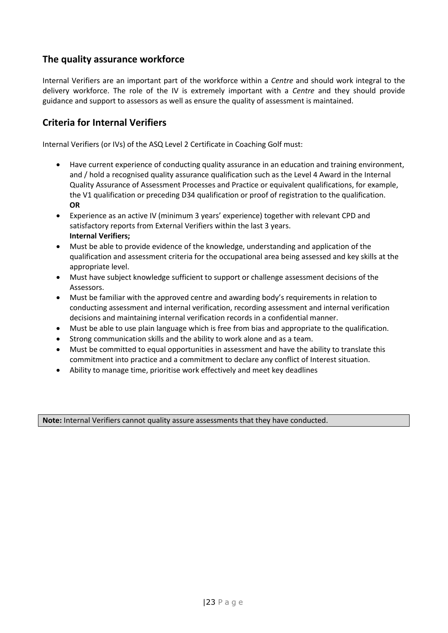### **The quality assurance workforce**

Internal Verifiers are an important part of the workforce within a *Centre* and should work integral to the delivery workforce. The role of the IV is extremely important with a *Centre* and they should provide guidance and support to assessors as well as ensure the quality of assessment is maintained.

### **Criteria for Internal Verifiers**

Internal Verifiers (or IVs) of the ASQ Level 2 Certificate in Coaching Golf must:

- Have current experience of conducting quality assurance in an education and training environment, and / hold a recognised quality assurance qualification such as the Level 4 Award in the Internal Quality Assurance of Assessment Processes and Practice or equivalent qualifications, for example, the V1 qualification or preceding D34 qualification or proof of registration to the qualification. **OR**
- Experience as an active IV (minimum 3 years' experience) together with relevant CPD and satisfactory reports from External Verifiers within the last 3 years. **Internal Verifiers;**
- Must be able to provide evidence of the knowledge, understanding and application of the qualification and assessment criteria for the occupational area being assessed and key skills at the appropriate level.
- Must have subject knowledge sufficient to support or challenge assessment decisions of the Assessors.
- Must be familiar with the approved centre and awarding body's requirements in relation to conducting assessment and internal verification, recording assessment and internal verification decisions and maintaining internal verification records in a confidential manner.
- Must be able to use plain language which is free from bias and appropriate to the qualification.
- Strong communication skills and the ability to work alone and as a team.
- Must be committed to equal opportunities in assessment and have the ability to translate this commitment into practice and a commitment to declare any conflict of Interest situation.
- Ability to manage time, prioritise work effectively and meet key deadlines

**Note:** Internal Verifiers cannot quality assure assessments that they have conducted.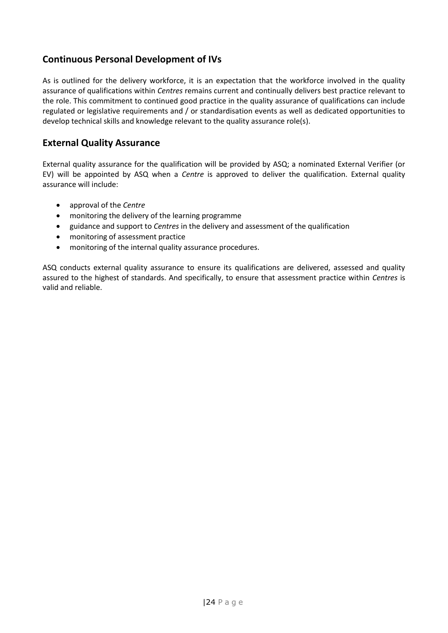## **Continuous Personal Development of IVs**

As is outlined for the delivery workforce, it is an expectation that the workforce involved in the quality assurance of qualifications within *Centres* remains current and continually delivers best practice relevant to the role. This commitment to continued good practice in the quality assurance of qualifications can include regulated or legislative requirements and / or standardisation events as well as dedicated opportunities to develop technical skills and knowledge relevant to the quality assurance role(s).

### **External Quality Assurance**

External quality assurance for the qualification will be provided by ASQ; a nominated External Verifier (or EV) will be appointed by ASQ when a *Centre* is approved to deliver the qualification. External quality assurance will include:

- approval of the *Centre*
- monitoring the delivery of the learning programme
- guidance and support to *Centres* in the delivery and assessment of the qualification
- monitoring of assessment practice
- monitoring of the internal quality assurance procedures.

ASQ conducts external quality assurance to ensure its qualifications are delivered, assessed and quality assured to the highest of standards. And specifically, to ensure that assessment practice within *Centres* is valid and reliable.